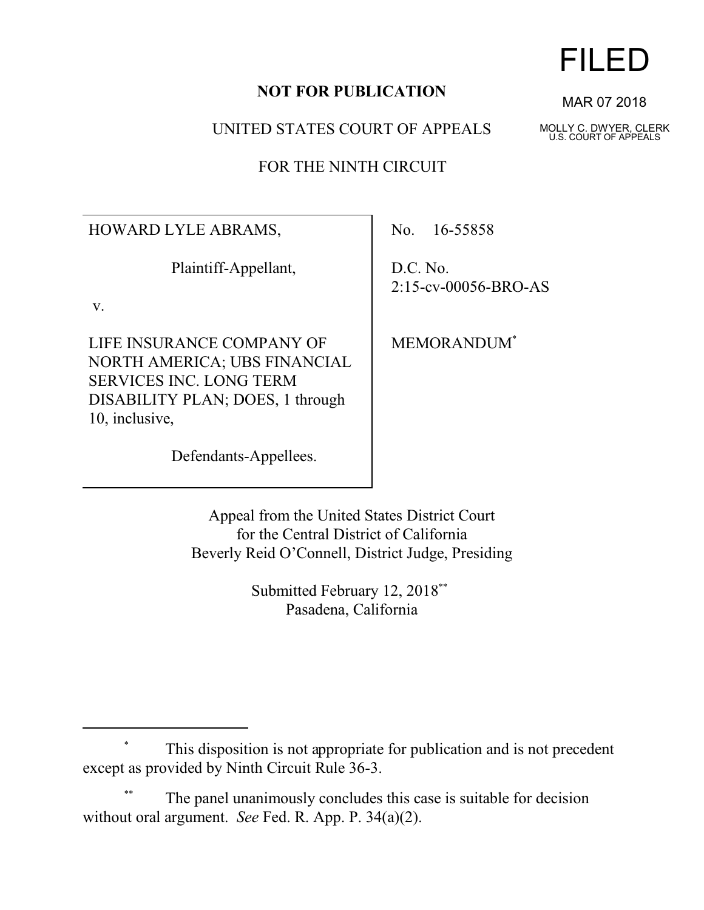## **NOT FOR PUBLICATION**

UNITED STATES COURT OF APPEALS

FOR THE NINTH CIRCUIT

HOWARD LYLE ABRAMS,

Plaintiff-Appellant,

v.

LIFE INSURANCE COMPANY OF NORTH AMERICA; UBS FINANCIAL SERVICES INC. LONG TERM DISABILITY PLAN; DOES, 1 through 10, inclusive,

No. 16-55858

D.C. No. 2:15-cv-00056-BRO-AS

MEMORANDUM\*

Defendants-Appellees.

Appeal from the United States District Court for the Central District of California Beverly Reid O'Connell, District Judge, Presiding

> Submitted February 12, 2018<sup>\*\*</sup> Pasadena, California

The panel unanimously concludes this case is suitable for decision without oral argument. *See* Fed. R. App. P. 34(a)(2).

## FILED

MAR 07 2018

MOLLY C. DWYER, CLERK U.S. COURT OF APPEALS

This disposition is not appropriate for publication and is not precedent except as provided by Ninth Circuit Rule 36-3.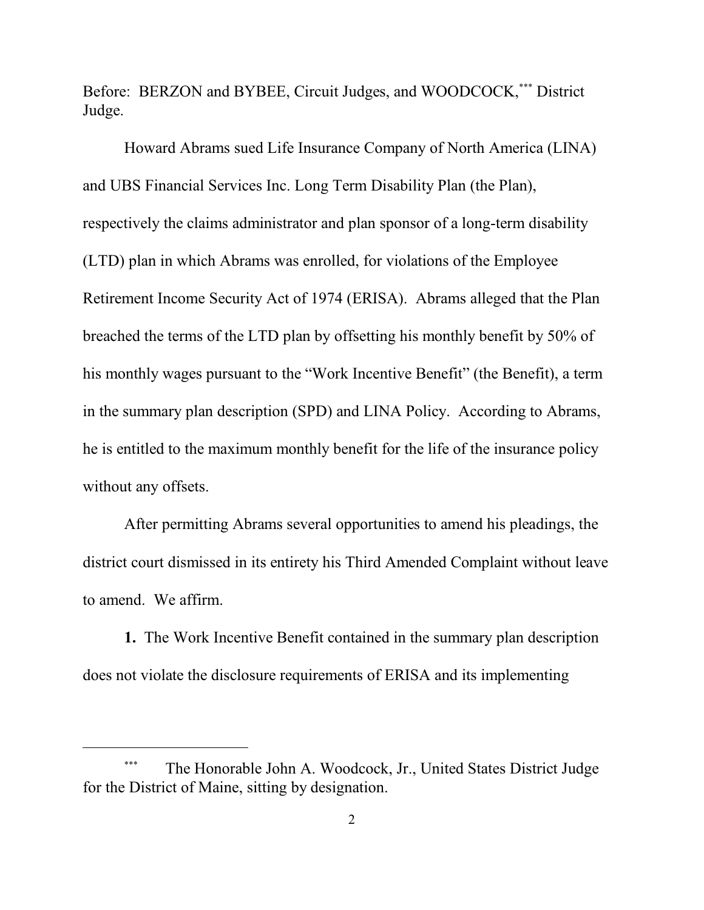Before: BERZON and BYBEE, Circuit Judges, and WOODCOCK,\*\*\* District Judge.

Howard Abrams sued Life Insurance Company of North America (LINA) and UBS Financial Services Inc. Long Term Disability Plan (the Plan), respectively the claims administrator and plan sponsor of a long-term disability (LTD) plan in which Abrams was enrolled, for violations of the Employee Retirement Income Security Act of 1974 (ERISA). Abrams alleged that the Plan breached the terms of the LTD plan by offsetting his monthly benefit by 50% of his monthly wages pursuant to the "Work Incentive Benefit" (the Benefit), a term in the summary plan description (SPD) and LINA Policy. According to Abrams, he is entitled to the maximum monthly benefit for the life of the insurance policy without any offsets.

After permitting Abrams several opportunities to amend his pleadings, the district court dismissed in its entirety his Third Amended Complaint without leave to amend. We affirm.

**1.** The Work Incentive Benefit contained in the summary plan description does not violate the disclosure requirements of ERISA and its implementing

The Honorable John A. Woodcock, Jr., United States District Judge for the District of Maine, sitting by designation.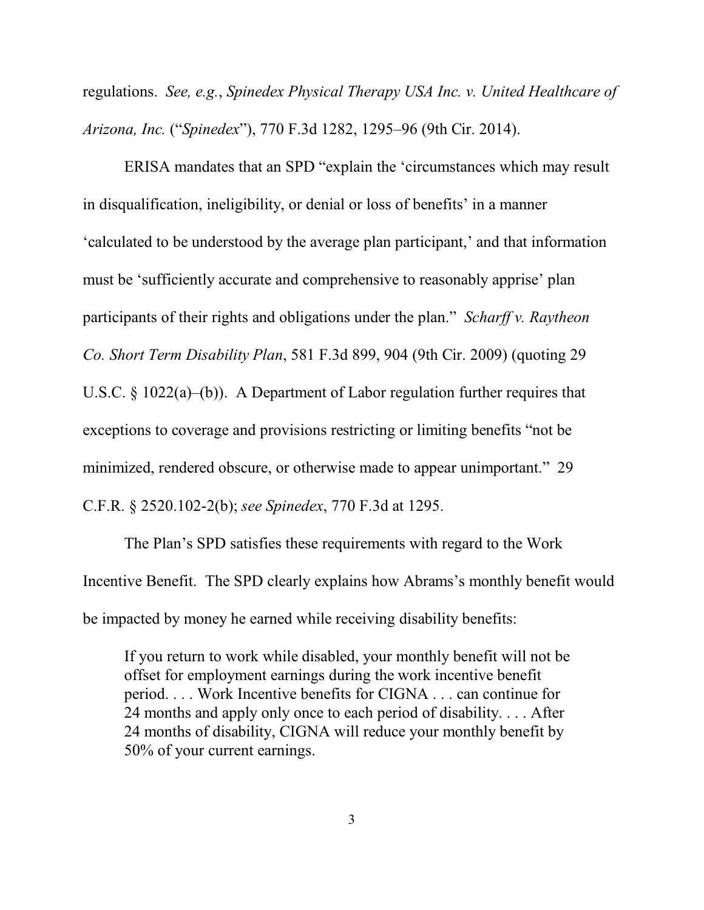regulations. *See, e.g.*, *Spinedex Physical Therapy USA Inc. v. United Healthcare of Arizona, Inc.* ("*Spinedex*"), 770 F.3d 1282, 1295–96 (9th Cir. 2014).

ERISA mandates that an SPD "explain the 'circumstances which may result in disqualification, ineligibility, or denial or loss of benefits' in a manner 'calculated to be understood by the average plan participant,' and that information must be 'sufficiently accurate and comprehensive to reasonably apprise' plan participants of their rights and obligations under the plan." *Scharff v. Raytheon Co. Short Term Disability Plan*, 581 F.3d 899, 904 (9th Cir. 2009) (quoting 29 U.S.C. § 1022(a)–(b)). A Department of Labor regulation further requires that exceptions to coverage and provisions restricting or limiting benefits "not be minimized, rendered obscure, or otherwise made to appear unimportant." 29 C.F.R. § 2520.102-2(b); *see Spinedex*, 770 F.3d at 1295.

The Plan's SPD satisfies these requirements with regard to the Work Incentive Benefit. The SPD clearly explains how Abrams's monthly benefit would be impacted by money he earned while receiving disability benefits:

If you return to work while disabled, your monthly benefit will not be offset for employment earnings during the work incentive benefit period. . . . Work Incentive benefits for CIGNA . . . can continue for 24 months and apply only once to each period of disability. . . . After 24 months of disability, CIGNA will reduce your monthly benefit by 50% of your current earnings.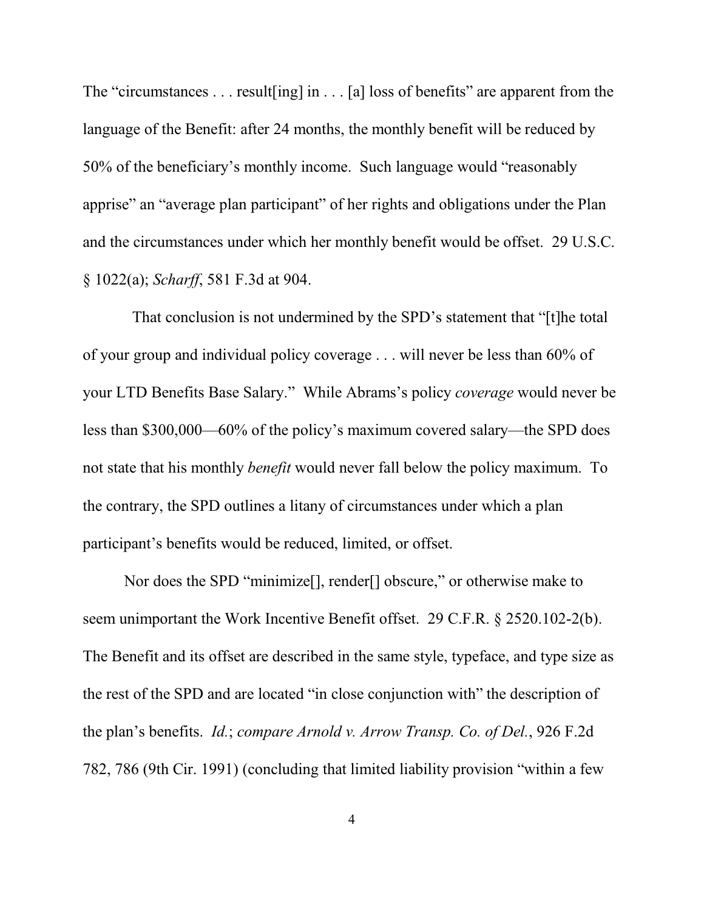The "circumstances . . . result[ing] in . . . [a] loss of benefits" are apparent from the language of the Benefit: after 24 months, the monthly benefit will be reduced by 50% of the beneficiary's monthly income. Such language would "reasonably apprise" an "average plan participant" of her rights and obligations under the Plan and the circumstances under which her monthly benefit would be offset. 29 U.S.C. § 1022(a); *Scharff*, 581 F.3d at 904.

 That conclusion is not undermined by the SPD's statement that "[t]he total of your group and individual policy coverage . . . will never be less than 60% of your LTD Benefits Base Salary." While Abrams's policy *coverage* would never be less than \$300,000—60% of the policy's maximum covered salary—the SPD does not state that his monthly *benefit* would never fall below the policy maximum. To the contrary, the SPD outlines a litany of circumstances under which a plan participant's benefits would be reduced, limited, or offset.

Nor does the SPD "minimize[], render[] obscure," or otherwise make to seem unimportant the Work Incentive Benefit offset. 29 C.F.R. § 2520.102-2(b). The Benefit and its offset are described in the same style, typeface, and type size as the rest of the SPD and are located "in close conjunction with" the description of the plan's benefits. *Id.*; *compare Arnold v. Arrow Transp. Co. of Del.*, 926 F.2d 782, 786 (9th Cir. 1991) (concluding that limited liability provision "within a few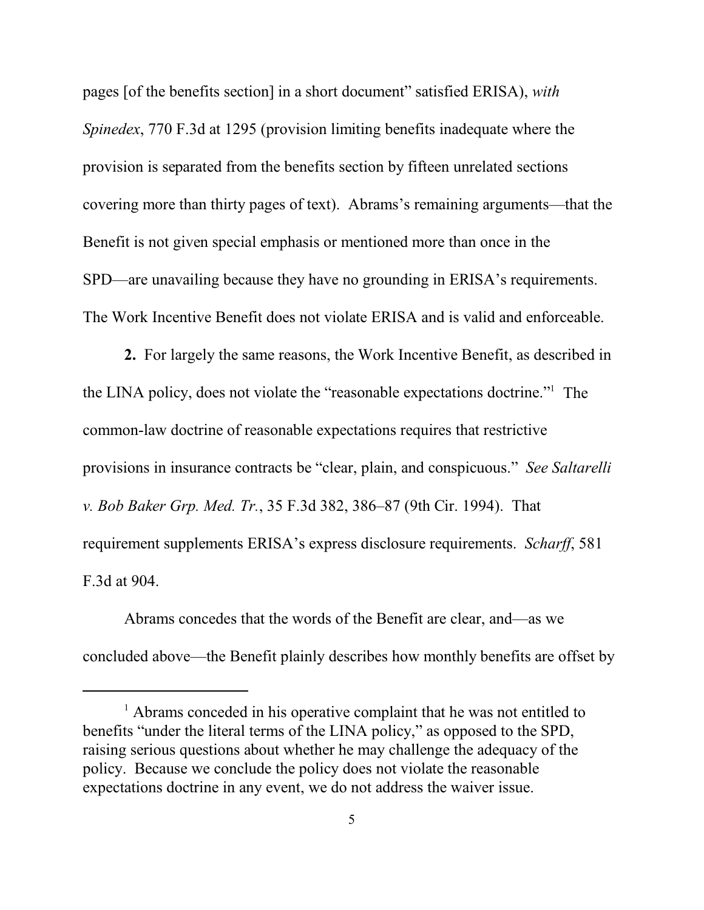pages [of the benefits section] in a short document" satisfied ERISA), *with Spinedex*, 770 F.3d at 1295 (provision limiting benefits inadequate where the provision is separated from the benefits section by fifteen unrelated sections covering more than thirty pages of text). Abrams's remaining arguments—that the Benefit is not given special emphasis or mentioned more than once in the SPD—are unavailing because they have no grounding in ERISA's requirements. The Work Incentive Benefit does not violate ERISA and is valid and enforceable.

**2.** For largely the same reasons, the Work Incentive Benefit, as described in the LINA policy, does not violate the "reasonable expectations doctrine."<sup>1</sup> The common-law doctrine of reasonable expectations requires that restrictive provisions in insurance contracts be "clear, plain, and conspicuous." *See Saltarelli v. Bob Baker Grp. Med. Tr.*, 35 F.3d 382, 386–87 (9th Cir. 1994). That requirement supplements ERISA's express disclosure requirements. *Scharff*, 581 F.3d at 904.

Abrams concedes that the words of the Benefit are clear, and—as we concluded above—the Benefit plainly describes how monthly benefits are offset by

<sup>&</sup>lt;sup>1</sup> Abrams conceded in his operative complaint that he was not entitled to benefits "under the literal terms of the LINA policy," as opposed to the SPD, raising serious questions about whether he may challenge the adequacy of the policy. Because we conclude the policy does not violate the reasonable expectations doctrine in any event, we do not address the waiver issue.